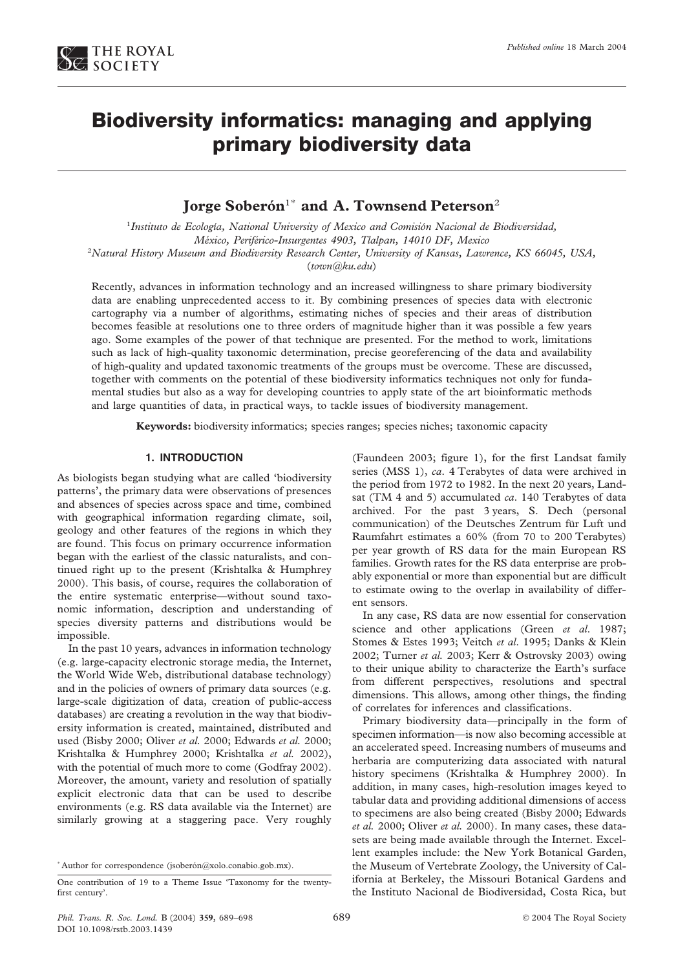

# **Biodiversity informatics: managing and applying primary biodiversity data**

# **Jorge Soberón<sup>1\*</sup> and A. Townsend Peterson<sup>2</sup>**

<sup>1</sup> Instituto de Ecología, National University of Mexico and Comisión Nacional de Biodiversidad, *Me´xico, Perife´rico-Insurgentes 4903, Tlalpan, 14010 DF, Mexico* 2 *Natural History Museum and Biodiversity Research Center, University of Kansas, Lawrence, KS 66045, USA,*

(*town@ku.edu*)

Recently, advances in information technology and an increased willingness to share primary biodiversity data are enabling unprecedented access to it. By combining presences of species data with electronic cartography via a number of algorithms, estimating niches of species and their areas of distribution becomes feasible at resolutions one to three orders of magnitude higher than it was possible a few years ago. Some examples of the power of that technique are presented. For the method to work, limitations such as lack of high-quality taxonomic determination, precise georeferencing of the data and availability of high-quality and updated taxonomic treatments of the groups must be overcome. These are discussed, together with comments on the potential of these biodiversity informatics techniques not only for fundamental studies but also as a way for developing countries to apply state of the art bioinformatic methods and large quantities of data, in practical ways, to tackle issues of biodiversity management.

**Keywords:** biodiversity informatics; species ranges; species niches; taxonomic capacity

### **1. INTRODUCTION**

As biologists began studying what are called 'biodiversity patterns', the primary data were observations of presences and absences of species across space and time, combined with geographical information regarding climate, soil, geology and other features of the regions in which they are found. This focus on primary occurrence information began with the earliest of the classic naturalists, and continued right up to the present (Krishtalka & Humphrey 2000). This basis, of course, requires the collaboration of the entire systematic enterprise—without sound taxonomic information, description and understanding of species diversity patterns and distributions would be impossible.

In the past 10 years, advances in information technology (e.g. large-capacity electronic storage media, the Internet, the World Wide Web, distributional database technology) and in the policies of owners of primary data sources (e.g. large-scale digitization of data, creation of public-access databases) are creating a revolution in the way that biodiversity information is created, maintained, distributed and used (Bisby 2000; Oliver *et al.* 2000; Edwards *et al.* 2000; Krishtalka & Humphrey 2000; Krishtalka *et al.* 2002), with the potential of much more to come (Godfray 2002). Moreover, the amount, variety and resolution of spatially explicit electronic data that can be used to describe environments (e.g. RS data available via the Internet) are similarly growing at a staggering pace. Very roughly

(Faundeen 2003; figure 1), for the first Landsat family series (MSS 1), *ca*. 4 Terabytes of data were archived in the period from 1972 to 1982. In the next 20 years, Landsat (TM 4 and 5) accumulated *ca*. 140 Terabytes of data archived. For the past 3 years, S. Dech (personal communication) of the Deutsches Zentrum für Luft und Raumfahrt estimates a 60% (from 70 to 200 Terabytes) per year growth of RS data for the main European RS families. Growth rates for the RS data enterprise are probably exponential or more than exponential but are difficult to estimate owing to the overlap in availability of different sensors.

In any case, RS data are now essential for conservation science and other applications (Green *et al*. 1987; Stomes & Estes 1993; Veitch *et al*. 1995; Danks & Klein 2002; Turner *et al.* 2003; Kerr & Ostrovsky 2003) owing to their unique ability to characterize the Earth's surface from different perspectives, resolutions and spectral dimensions. This allows, among other things, the finding of correlates for inferences and classifications.

Primary biodiversity data—principally in the form of specimen information—is now also becoming accessible at an accelerated speed. Increasing numbers of museums and herbaria are computerizing data associated with natural history specimens (Krishtalka & Humphrey 2000). In addition, in many cases, high-resolution images keyed to tabular data and providing additional dimensions of access to specimens are also being created (Bisby 2000; Edwards *et al.* 2000; Oliver *et al.* 2000). In many cases, these datasets are being made available through the Internet. Excellent examples include: the New York Botanical Garden, the Museum of Vertebrate Zoology, the University of California at Berkeley, the Missouri Botanical Gardens and the Instituto Nacional de Biodiversidad, Costa Rica, but

<sup>\*</sup> Author for correspondence (jsoberón@xolo.conabio.gob.mx).

One contribution of 19 to a Theme Issue 'Taxonomy for the twentyfirst century'.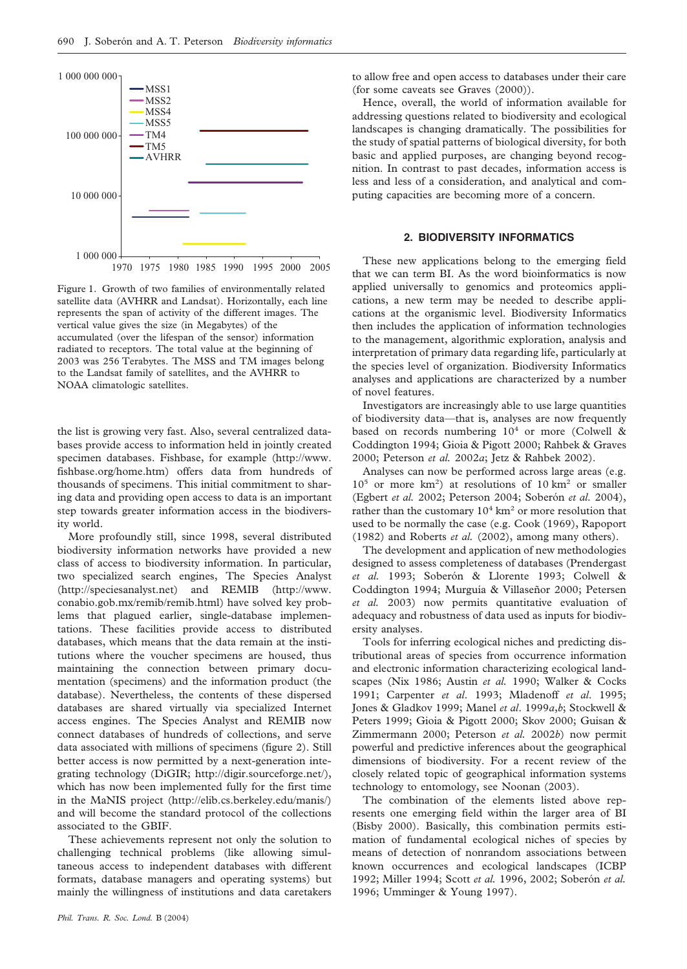

Figure 1. Growth of two families of environmentally related satellite data (AVHRR and Landsat). Horizontally, each line represents the span of activity of the different images. The vertical value gives the size (in Megabytes) of the accumulated (over the lifespan of the sensor) information radiated to receptors. The total value at the beginning of 2003 was 256 Terabytes. The MSS and TM images belong to the Landsat family of satellites, and the AVHRR to NOAA climatologic satellites.

the list is growing very fast. Also, several centralized databases provide access to information held in jointly created specimen databases. Fishbase, for example (http://www. fishbase.org/home.htm) offers data from hundreds of thousands of specimens. This initial commitment to sharing data and providing open access to data is an important step towards greater information access in the biodiversity world.

More profoundly still, since 1998, several distributed biodiversity information networks have provided a new class of access to biodiversity information. In particular, two specialized search engines, The Species Analyst (http://speciesanalyst.net) and REMIB (http://www. conabio.gob.mx/remib/remib.html) have solved key problems that plagued earlier, single-database implementations. These facilities provide access to distributed databases, which means that the data remain at the institutions where the voucher specimens are housed, thus maintaining the connection between primary documentation (specimens) and the information product (the database). Nevertheless, the contents of these dispersed databases are shared virtually via specialized Internet access engines. The Species Analyst and REMIB now connect databases of hundreds of collections, and serve data associated with millions of specimens (figure 2). Still better access is now permitted by a next-generation integrating technology (DiGIR; http://digir.sourceforge.net/), which has now been implemented fully for the first time in the MaNIS project (http://elib.cs.berkeley.edu/manis/) and will become the standard protocol of the collections associated to the GBIF.

These achievements represent not only the solution to challenging technical problems (like allowing simultaneous access to independent databases with different formats, database managers and operating systems) but mainly the willingness of institutions and data caretakers

to allow free and open access to databases under their care (for some caveats see Graves (2000)).

Hence, overall, the world of information available for addressing questions related to biodiversity and ecological landscapes is changing dramatically. The possibilities for the study of spatial patterns of biological diversity, for both basic and applied purposes, are changing beyond recognition. In contrast to past decades, information access is less and less of a consideration, and analytical and computing capacities are becoming more of a concern.

# **2. BIODIVERSITY INFORMATICS**

These new applications belong to the emerging field that we can term BI. As the word bioinformatics is now applied universally to genomics and proteomics applications, a new term may be needed to describe applications at the organismic level. Biodiversity Informatics then includes the application of information technologies to the management, algorithmic exploration, analysis and interpretation of primary data regarding life, particularly at the species level of organization. Biodiversity Informatics analyses and applications are characterized by a number of novel features.

Investigators are increasingly able to use large quantities of biodiversity data—that is, analyses are now frequently based on records numbering  $10^4$  or more (Colwell & Coddington 1994; Gioia & Pigott 2000; Rahbek & Graves 2000; Peterson *et al.* 2002*a*; Jetz & Rahbek 2002).

Analyses can now be performed across large areas (e.g. 10<sup>5</sup> or more km2 ) at resolutions of 10 km2 or smaller (Egbert *et al.* 2002; Peterson 2004; Soberón *et al.* 2004), rather than the customary  $10^4$  km<sup>2</sup> or more resolution that used to be normally the case (e.g. Cook (1969), Rapoport (1982) and Roberts *et al.* (2002), among many others).

The development and application of new methodologies designed to assess completeness of databases (Prendergast et al. 1993; Soberón & Llorente 1993; Colwell & Coddington 1994; Murguía & Villaseñor 2000; Petersen *et al.* 2003) now permits quantitative evaluation of adequacy and robustness of data used as inputs for biodiversity analyses.

Tools for inferring ecological niches and predicting distributional areas of species from occurrence information and electronic information characterizing ecological landscapes (Nix 1986; Austin *et al.* 1990; Walker & Cocks 1991; Carpenter *et al*. 1993; Mladenoff *et al*. 1995; Jones & Gladkov 1999; Manel *et al*. 1999*a*,*b*; Stockwell & Peters 1999; Gioia & Pigott 2000; Skov 2000; Guisan & Zimmermann 2000; Peterson *et al.* 2002*b*) now permit powerful and predictive inferences about the geographical dimensions of biodiversity. For a recent review of the closely related topic of geographical information systems technology to entomology, see Noonan (2003).

The combination of the elements listed above represents one emerging field within the larger area of BI (Bisby 2000). Basically, this combination permits estimation of fundamental ecological niches of species by means of detection of nonrandom associations between known occurrences and ecological landscapes (ICBP 1992; Miller 1994; Scott et al. 1996, 2002; Soberón et al. 1996; Umminger & Young 1997).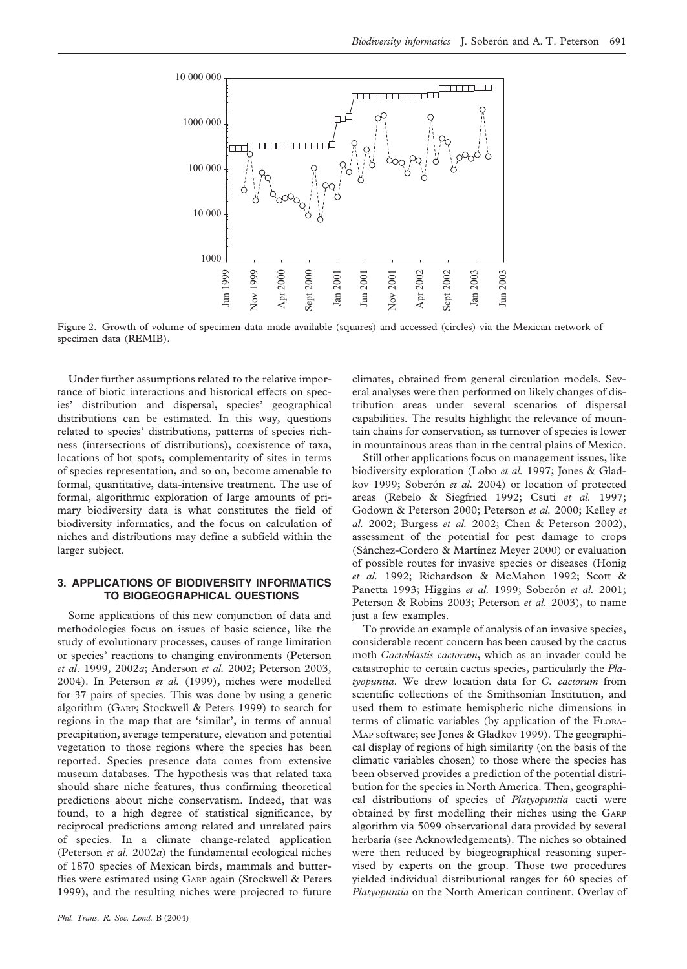

Figure 2. Growth of volume of specimen data made available (squares) and accessed (circles) via the Mexican network of specimen data (REMIB).

Under further assumptions related to the relative importance of biotic interactions and historical effects on species' distribution and dispersal, species' geographical distributions can be estimated. In this way, questions related to species' distributions, patterns of species richness (intersections of distributions), coexistence of taxa, locations of hot spots, complementarity of sites in terms of species representation, and so on, become amenable to formal, quantitative, data-intensive treatment. The use of formal, algorithmic exploration of large amounts of primary biodiversity data is what constitutes the field of biodiversity informatics, and the focus on calculation of niches and distributions may define a subfield within the larger subject.

## **3. APPLICATIONS OF BIODIVERSITY INFORMATICS TO BIOGEOGRAPHICAL QUESTIONS**

Some applications of this new conjunction of data and methodologies focus on issues of basic science, like the study of evolutionary processes, causes of range limitation or species' reactions to changing environments (Peterson *et al*. 1999, 2002*a*; Anderson *et al.* 2002; Peterson 2003, 2004). In Peterson *et al.* (1999), niches were modelled for 37 pairs of species. This was done by using a genetic algorithm (Garp; Stockwell & Peters 1999) to search for regions in the map that are 'similar', in terms of annual precipitation, average temperature, elevation and potential vegetation to those regions where the species has been reported. Species presence data comes from extensive museum databases. The hypothesis was that related taxa should share niche features, thus confirming theoretical predictions about niche conservatism. Indeed, that was found, to a high degree of statistical significance, by reciprocal predictions among related and unrelated pairs of species. In a climate change-related application (Peterson *et al.* 2002*a*) the fundamental ecological niches of 1870 species of Mexican birds, mammals and butterflies were estimated using Garp again (Stockwell & Peters 1999), and the resulting niches were projected to future

climates, obtained from general circulation models. Several analyses were then performed on likely changes of distribution areas under several scenarios of dispersal capabilities. The results highlight the relevance of mountain chains for conservation, as turnover of species is lower in mountainous areas than in the central plains of Mexico.

Still other applications focus on management issues, like biodiversity exploration (Lobo *et al.* 1997; Jones & Gladkov 1999; Soberón et al. 2004) or location of protected areas (Rebelo & Siegfried 1992; Csuti *et al.* 1997; Godown & Peterson 2000; Peterson *et al.* 2000; Kelley *et al.* 2002; Burgess *et al.* 2002; Chen & Peterson 2002), assessment of the potential for pest damage to crops (Sánchez-Cordero & Martínez Meyer 2000) or evaluation of possible routes for invasive species or diseases (Honig *et al.* 1992; Richardson & McMahon 1992; Scott & Panetta 1993; Higgins et al. 1999; Soberón et al. 2001; Peterson & Robins 2003; Peterson *et al.* 2003), to name just a few examples.

To provide an example of analysis of an invasive species, considerable recent concern has been caused by the cactus moth *Cactoblastis cactorum*, which as an invader could be catastrophic to certain cactus species, particularly the *Platyopuntia*. We drew location data for *C. cactorum* from scientific collections of the Smithsonian Institution, and used them to estimate hemispheric niche dimensions in terms of climatic variables (by application of the FLORA-Map software; see Jones & Gladkov 1999). The geographical display of regions of high similarity (on the basis of the climatic variables chosen) to those where the species has been observed provides a prediction of the potential distribution for the species in North America. Then, geographical distributions of species of *Platyopuntia* cacti were obtained by first modelling their niches using the Garp algorithm via 5099 observational data provided by several herbaria (see Acknowledgements). The niches so obtained were then reduced by biogeographical reasoning supervised by experts on the group. Those two procedures yielded individual distributional ranges for 60 species of *Platyopuntia* on the North American continent. Overlay of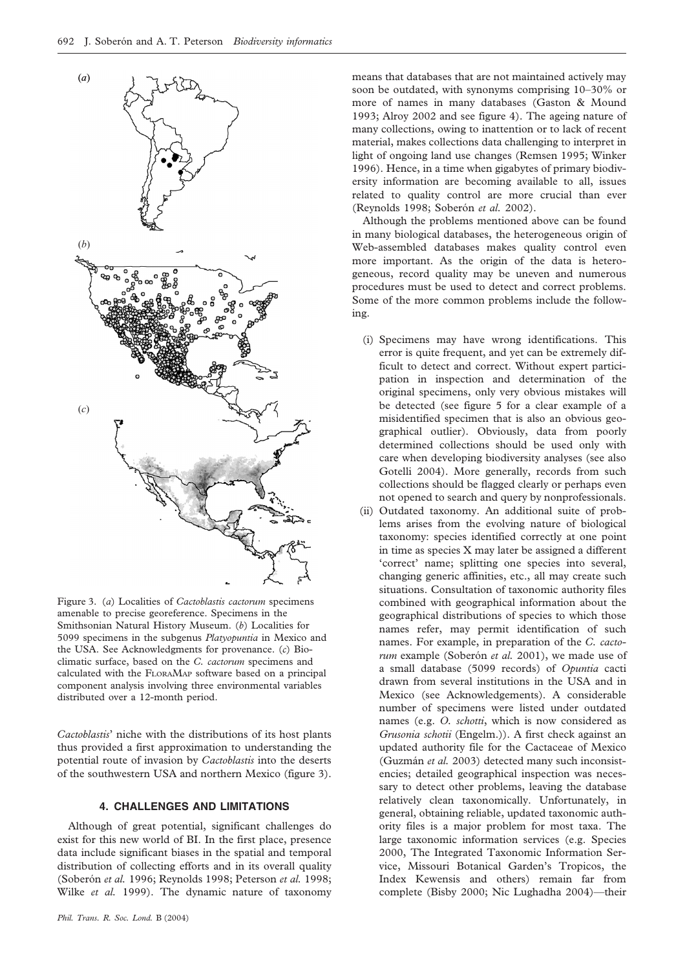

Figure 3. (*a*) Localities of *Cactoblastis cactorum* specimens amenable to precise georeference. Specimens in the Smithsonian Natural History Museum. (*b*) Localities for 5099 specimens in the subgenus *Platyopuntia* in Mexico and the USA. See Acknowledgments for provenance. (*c*) Bioclimatic surface, based on the *C. cactorum* specimens and calculated with the FloraMap software based on a principal component analysis involving three environmental variables distributed over a 12-month period.

*Cactoblastis*' niche with the distributions of its host plants thus provided a first approximation to understanding the potential route of invasion by *Cactoblastis* into the deserts of the southwestern USA and northern Mexico (figure 3).

# **4. CHALLENGES AND LIMITATIONS**

Although of great potential, significant challenges do exist for this new world of BI. In the first place, presence data include significant biases in the spatial and temporal distribution of collecting efforts and in its overall quality (Soberón et al. 1996; Reynolds 1998; Peterson et al. 1998; Wilke *et al.* 1999). The dynamic nature of taxonomy

means that databases that are not maintained actively may soon be outdated, with synonyms comprising 10–30% or more of names in many databases (Gaston & Mound 1993; Alroy 2002 and see figure 4). The ageing nature of many collections, owing to inattention or to lack of recent material, makes collections data challenging to interpret in light of ongoing land use changes (Remsen 1995; Winker 1996). Hence, in a time when gigabytes of primary biodiversity information are becoming available to all, issues related to quality control are more crucial than ever (Reynolds 1998; Soberón et al. 2002).

Although the problems mentioned above can be found in many biological databases, the heterogeneous origin of Web-assembled databases makes quality control even more important. As the origin of the data is heterogeneous, record quality may be uneven and numerous procedures must be used to detect and correct problems. Some of the more common problems include the following.

- (i) Specimens may have wrong identifications. This error is quite frequent, and yet can be extremely difficult to detect and correct. Without expert participation in inspection and determination of the original specimens, only very obvious mistakes will be detected (see figure 5 for a clear example of a misidentified specimen that is also an obvious geographical outlier). Obviously, data from poorly determined collections should be used only with care when developing biodiversity analyses (see also Gotelli 2004). More generally, records from such collections should be flagged clearly or perhaps even not opened to search and query by nonprofessionals.
- (ii) Outdated taxonomy. An additional suite of problems arises from the evolving nature of biological taxonomy: species identified correctly at one point in time as species X may later be assigned a different 'correct' name; splitting one species into several, changing generic affinities, etc., all may create such situations. Consultation of taxonomic authority files combined with geographical information about the geographical distributions of species to which those names refer, may permit identification of such names. For example, in preparation of the *C. cactorum* example (Soberón *et al.* 2001), we made use of a small database (5099 records) of *Opuntia* cacti drawn from several institutions in the USA and in Mexico (see Acknowledgements). A considerable number of specimens were listed under outdated names (e.g. *O. schotti*, which is now considered as *Grusonia schotii* (Engelm.)). A first check against an updated authority file for the Cactaceae of Mexico (Guzmán et al. 2003) detected many such inconsistencies; detailed geographical inspection was necessary to detect other problems, leaving the database relatively clean taxonomically. Unfortunately, in general, obtaining reliable, updated taxonomic authority files is a major problem for most taxa. The large taxonomic information services (e.g. Species 2000, The Integrated Taxonomic Information Service, Missouri Botanical Garden's Tropicos, the Index Kewensis and others) remain far from complete (Bisby 2000; Nic Lughadha 2004)—their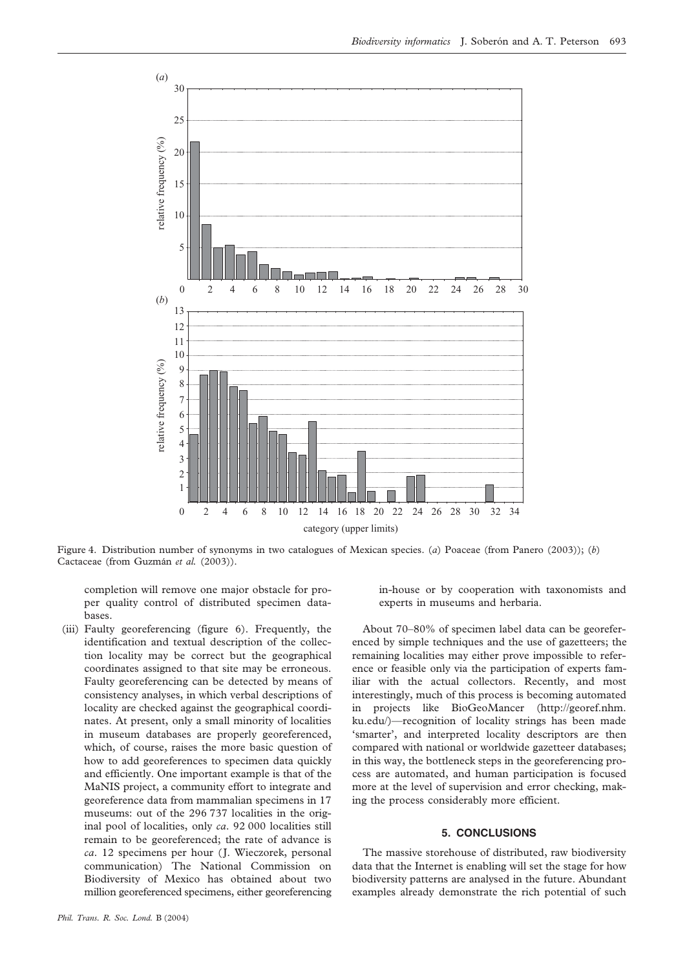

Figure 4. Distribution number of synonyms in two catalogues of Mexican species. (*a*) Poaceae (from Panero (2003)); (*b*) Cactaceae (from Guzmán et al. (2003)).

completion will remove one major obstacle for proper quality control of distributed specimen databases.

(iii) Faulty georeferencing (figure 6). Frequently, the identification and textual description of the collection locality may be correct but the geographical coordinates assigned to that site may be erroneous. Faulty georeferencing can be detected by means of consistency analyses, in which verbal descriptions of locality are checked against the geographical coordinates. At present, only a small minority of localities in museum databases are properly georeferenced, which, of course, raises the more basic question of how to add georeferences to specimen data quickly and efficiently. One important example is that of the MaNIS project, a community effort to integrate and georeference data from mammalian specimens in 17 museums: out of the 296 737 localities in the original pool of localities, only *ca*. 92 000 localities still remain to be georeferenced; the rate of advance is *ca*. 12 specimens per hour (J. Wieczorek, personal communication) The National Commission on Biodiversity of Mexico has obtained about two million georeferenced specimens, either georeferencing

in-house or by cooperation with taxonomists and experts in museums and herbaria.

About 70–80% of specimen label data can be georeferenced by simple techniques and the use of gazetteers; the remaining localities may either prove impossible to reference or feasible only via the participation of experts familiar with the actual collectors. Recently, and most interestingly, much of this process is becoming automated in projects like BioGeoMancer (http://georef.nhm. ku.edu/)—recognition of locality strings has been made 'smarter', and interpreted locality descriptors are then compared with national or worldwide gazetteer databases; in this way, the bottleneck steps in the georeferencing process are automated, and human participation is focused more at the level of supervision and error checking, making the process considerably more efficient.

#### **5. CONCLUSIONS**

The massive storehouse of distributed, raw biodiversity data that the Internet is enabling will set the stage for how biodiversity patterns are analysed in the future. Abundant examples already demonstrate the rich potential of such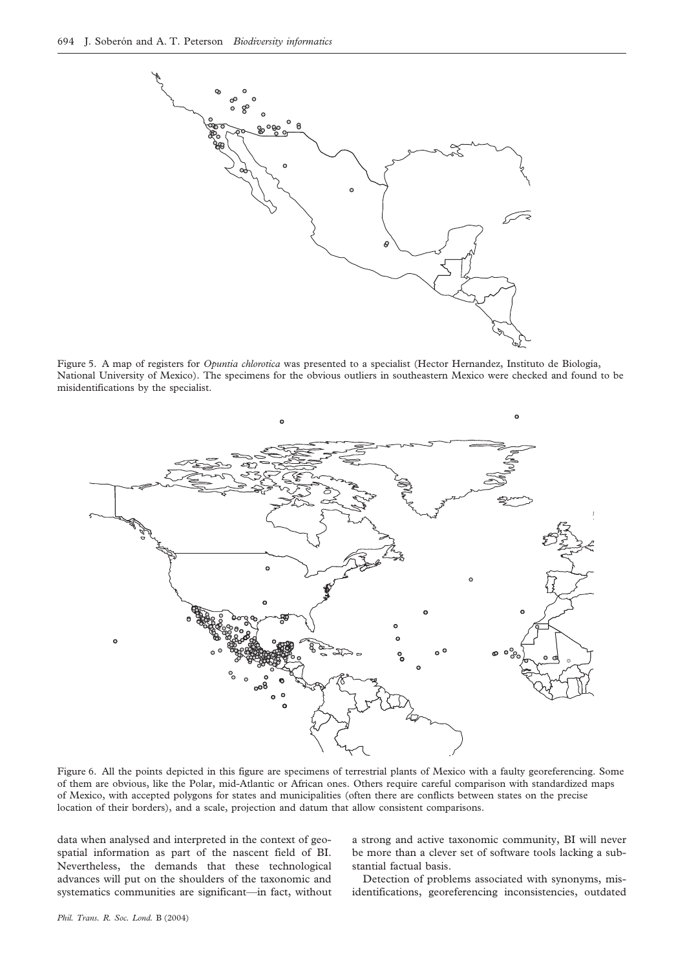

Figure 5. A map of registers for *Opuntia chlorotica* was presented to a specialist (Hector Hernandez, Instituto de Biología, National University of Mexico). The specimens for the obvious outliers in southeastern Mexico were checked and found to be misidentifications by the specialist.



Figure 6. All the points depicted in this figure are specimens of terrestrial plants of Mexico with a faulty georeferencing. Some of them are obvious, like the Polar, mid-Atlantic or African ones. Others require careful comparison with standardized maps of Mexico, with accepted polygons for states and municipalities (often there are conflicts between states on the precise location of their borders), and a scale, projection and datum that allow consistent comparisons.

data when analysed and interpreted in the context of geospatial information as part of the nascent field of BI. Nevertheless, the demands that these technological advances will put on the shoulders of the taxonomic and systematics communities are significant—in fact, without a strong and active taxonomic community, BI will never be more than a clever set of software tools lacking a substantial factual basis.

Detection of problems associated with synonyms, misidentifications, georeferencing inconsistencies, outdated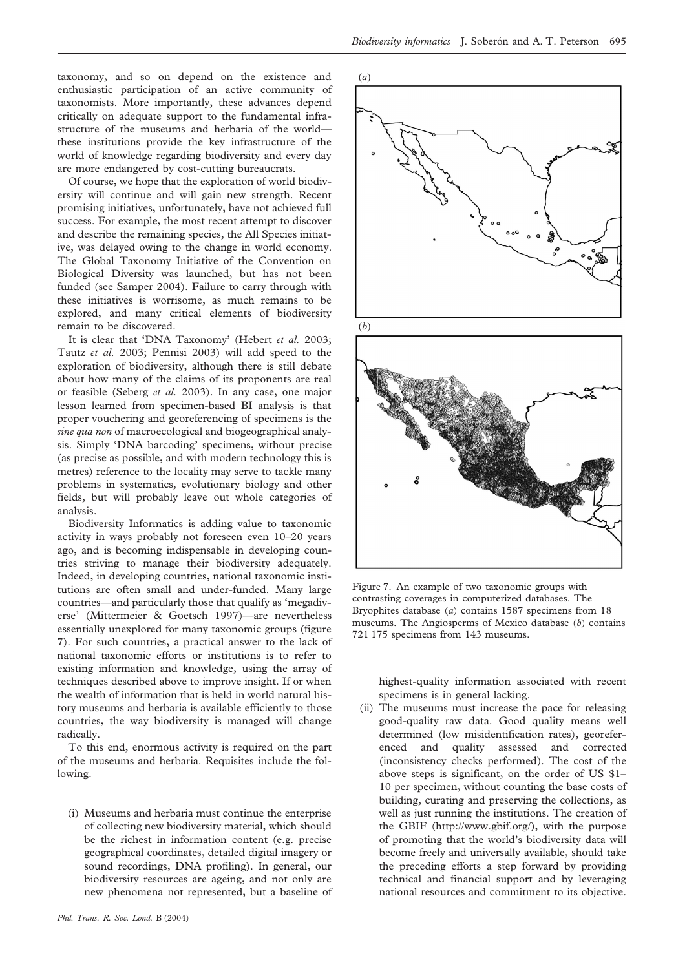taxonomy, and so on depend on the existence and enthusiastic participation of an active community of taxonomists. More importantly, these advances depend critically on adequate support to the fundamental infrastructure of the museums and herbaria of the world these institutions provide the key infrastructure of the world of knowledge regarding biodiversity and every day are more endangered by cost-cutting bureaucrats.

Of course, we hope that the exploration of world biodiversity will continue and will gain new strength. Recent promising initiatives, unfortunately, have not achieved full success. For example, the most recent attempt to discover and describe the remaining species, the All Species initiative, was delayed owing to the change in world economy. The Global Taxonomy Initiative of the Convention on Biological Diversity was launched, but has not been funded (see Samper 2004). Failure to carry through with these initiatives is worrisome, as much remains to be explored, and many critical elements of biodiversity remain to be discovered.

It is clear that 'DNA Taxonomy' (Hebert *et al.* 2003; Tautz *et al.* 2003; Pennisi 2003) will add speed to the exploration of biodiversity, although there is still debate about how many of the claims of its proponents are real or feasible (Seberg *et al.* 2003). In any case, one major lesson learned from specimen-based BI analysis is that proper vouchering and georeferencing of specimens is the *sine qua non* of macroecological and biogeographical analysis. Simply 'DNA barcoding' specimens, without precise (as precise as possible, and with modern technology this is metres) reference to the locality may serve to tackle many problems in systematics, evolutionary biology and other fields, but will probably leave out whole categories of analysis.

Biodiversity Informatics is adding value to taxonomic activity in ways probably not foreseen even 10–20 years ago, and is becoming indispensable in developing countries striving to manage their biodiversity adequately. Indeed, in developing countries, national taxonomic institutions are often small and under-funded. Many large countries—and particularly those that qualify as 'megadiverse' (Mittermeier & Goetsch 1997)—are nevertheless essentially unexplored for many taxonomic groups (figure 7). For such countries, a practical answer to the lack of national taxonomic efforts or institutions is to refer to existing information and knowledge, using the array of techniques described above to improve insight. If or when the wealth of information that is held in world natural history museums and herbaria is available efficiently to those countries, the way biodiversity is managed will change radically.

To this end, enormous activity is required on the part of the museums and herbaria. Requisites include the following.

(i) Museums and herbaria must continue the enterprise of collecting new biodiversity material, which should be the richest in information content (e.g. precise geographical coordinates, detailed digital imagery or sound recordings, DNA profiling). In general, our biodiversity resources are ageing, and not only are new phenomena not represented, but a baseline of







Figure 7. An example of two taxonomic groups with contrasting coverages in computerized databases. The Bryophites database (*a*) contains 1587 specimens from 18 museums. The Angiosperms of Mexico database (*b*) contains 721 175 specimens from 143 museums.

highest-quality information associated with recent specimens is in general lacking.

(ii) The museums must increase the pace for releasing good-quality raw data. Good quality means well determined (low misidentification rates), georeferenced and quality assessed and corrected (inconsistency checks performed). The cost of the above steps is significant, on the order of US \$1– 10 per specimen, without counting the base costs of building, curating and preserving the collections, as well as just running the institutions. The creation of the GBIF (http://www.gbif.org/), with the purpose of promoting that the world's biodiversity data will become freely and universally available, should take the preceding efforts a step forward by providing technical and financial support and by leveraging national resources and commitment to its objective.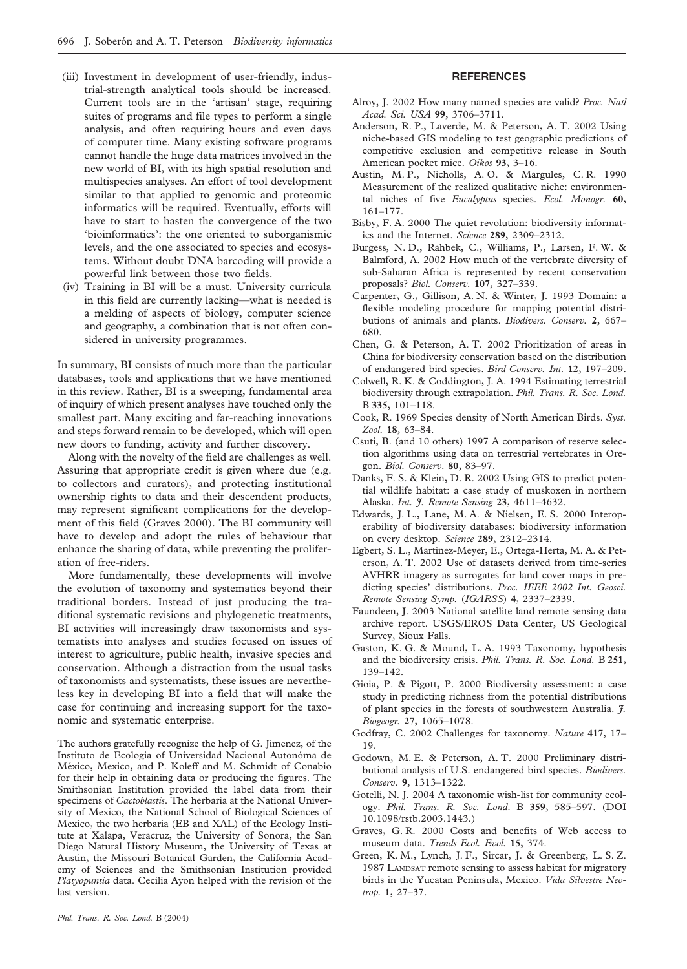- (iii) Investment in development of user-friendly, industrial-strength analytical tools should be increased. Current tools are in the 'artisan' stage, requiring suites of programs and file types to perform a single analysis, and often requiring hours and even days of computer time. Many existing software programs cannot handle the huge data matrices involved in the new world of BI, with its high spatial resolution and multispecies analyses. An effort of tool development similar to that applied to genomic and proteomic informatics will be required. Eventually, efforts will have to start to hasten the convergence of the two 'bioinformatics': the one oriented to suborganismic levels, and the one associated to species and ecosystems. Without doubt DNA barcoding will provide a powerful link between those two fields.
- (iv) Training in BI will be a must. University curricula in this field are currently lacking—what is needed is a melding of aspects of biology, computer science and geography, a combination that is not often considered in university programmes.

In summary, BI consists of much more than the particular databases, tools and applications that we have mentioned in this review. Rather, BI is a sweeping, fundamental area of inquiry of which present analyses have touched only the smallest part. Many exciting and far-reaching innovations and steps forward remain to be developed, which will open new doors to funding, activity and further discovery.

Along with the novelty of the field are challenges as well. Assuring that appropriate credit is given where due (e.g. to collectors and curators), and protecting institutional ownership rights to data and their descendent products, may represent significant complications for the development of this field (Graves 2000). The BI community will have to develop and adopt the rules of behaviour that enhance the sharing of data, while preventing the proliferation of free-riders.

More fundamentally, these developments will involve the evolution of taxonomy and systematics beyond their traditional borders. Instead of just producing the traditional systematic revisions and phylogenetic treatments, BI activities will increasingly draw taxonomists and systematists into analyses and studies focused on issues of interest to agriculture, public health, invasive species and conservation. Although a distraction from the usual tasks of taxonomists and systematists, these issues are nevertheless key in developing BI into a field that will make the case for continuing and increasing support for the taxonomic and systematic enterprise.

The authors gratefully recognize the help of G. Jimenez, of the Instituto de Ecologia of Universidad Nacional Autonóma de México, Mexico, and P. Koleff and M. Schmidt of Conabio for their help in obtaining data or producing the figures. The Smithsonian Institution provided the label data from their specimens of *Cactoblastis*. The herbaria at the National University of Mexico, the National School of Biological Sciences of Mexico, the two herbaria (EB and XAL) of the Ecology Institute at Xalapa, Veracruz, the University of Sonora, the San Diego Natural History Museum, the University of Texas at Austin, the Missouri Botanical Garden, the California Academy of Sciences and the Smithsonian Institution provided *Platyopuntia* data. Cecilia Ayon helped with the revision of the last version.

#### **REFERENCES**

- Alroy, J. 2002 How many named species are valid? *Proc. Natl Acad. Sci. USA* **99**, 3706–3711.
- Anderson, R. P., Laverde, M. & Peterson, A. T. 2002 Using niche-based GIS modeling to test geographic predictions of competitive exclusion and competitive release in South American pocket mice. *Oikos* **93**, 3–16.
- Austin, M. P., Nicholls, A. O. & Margules, C. R. 1990 Measurement of the realized qualitative niche: environmental niches of five *Eucalyptus* species. *Ecol. Monogr.* **60**, 161–177.
- Bisby, F. A. 2000 The quiet revolution: biodiversity informatics and the Internet. *Science* **289**, 2309–2312.
- Burgess, N. D., Rahbek, C., Williams, P., Larsen, F. W. & Balmford, A. 2002 How much of the vertebrate diversity of sub-Saharan Africa is represented by recent conservation proposals? *Biol. Conserv.* **107**, 327–339.
- Carpenter, G., Gillison, A. N. & Winter, J. 1993 Domain: a flexible modeling procedure for mapping potential distributions of animals and plants. *Biodivers. Conserv.* **2**, 667– 680.
- Chen, G. & Peterson, A. T. 2002 Prioritization of areas in China for biodiversity conservation based on the distribution of endangered bird species. *Bird Conserv. Int.* **12**, 197–209.
- Colwell, R. K. & Coddington, J. A. 1994 Estimating terrestrial biodiversity through extrapolation. *Phil. Trans. R. Soc. Lond.* B **335**, 101–118.
- Cook, R. 1969 Species density of North American Birds. *Syst. Zool.* **18**, 63–84.
- Csuti, B. (and 10 others) 1997 A comparison of reserve selection algorithms using data on terrestrial vertebrates in Oregon. *Biol. Conserv*. **80**, 83–97.
- Danks, F. S. & Klein, D. R. 2002 Using GIS to predict potential wildlife habitat: a case study of muskoxen in northern Alaska. *Int. J. Remote Sensing* **23**, 4611–4632.
- Edwards, J. L., Lane, M. A. & Nielsen, E. S. 2000 Interoperability of biodiversity databases: biodiversity information on every desktop. *Science* **289**, 2312–2314.
- Egbert, S. L., Martinez-Meyer, E., Ortega-Herta, M. A. & Peterson, A. T. 2002 Use of datasets derived from time-series AVHRR imagery as surrogates for land cover maps in predicting species' distributions. *Proc. IEEE 2002 Int. Geosci. Remote Sensing Symp.* (*IGARSS*) **4**, 2337–2339.
- Faundeen, J. 2003 National satellite land remote sensing data archive report. USGS/EROS Data Center, US Geological Survey, Sioux Falls.
- Gaston, K. G. & Mound, L. A. 1993 Taxonomy, hypothesis and the biodiversity crisis. *Phil. Trans. R. Soc. Lond.* B **251**, 139–142.
- Gioia, P. & Pigott, P. 2000 Biodiversity assessment: a case study in predicting richness from the potential distributions of plant species in the forests of southwestern Australia. *J. Biogeogr.* **27**, 1065–1078.
- Godfray, C. 2002 Challenges for taxonomy. *Nature* **417**, 17– 19.
- Godown, M. E. & Peterson, A. T. 2000 Preliminary distributional analysis of U.S. endangered bird species. *Biodivers. Conserv.* **9**, 1313–1322.
- Gotelli, N. J. 2004 A taxonomic wish-list for community ecology. *Phil. Trans. R. Soc. Lond*. B **359**, 585–597. (DOI 10.1098/rstb.2003.1443.)
- Graves, G. R. 2000 Costs and benefits of Web access to museum data. *Trends Ecol. Evol.* **15**, 374.
- Green, K. M., Lynch, J. F., Sircar, J. & Greenberg, L. S. Z. 1987 LANDSAT remote sensing to assess habitat for migratory birds in the Yucatan Peninsula, Mexico. *Vida Silvestre Neotrop.* **1**, 27–37.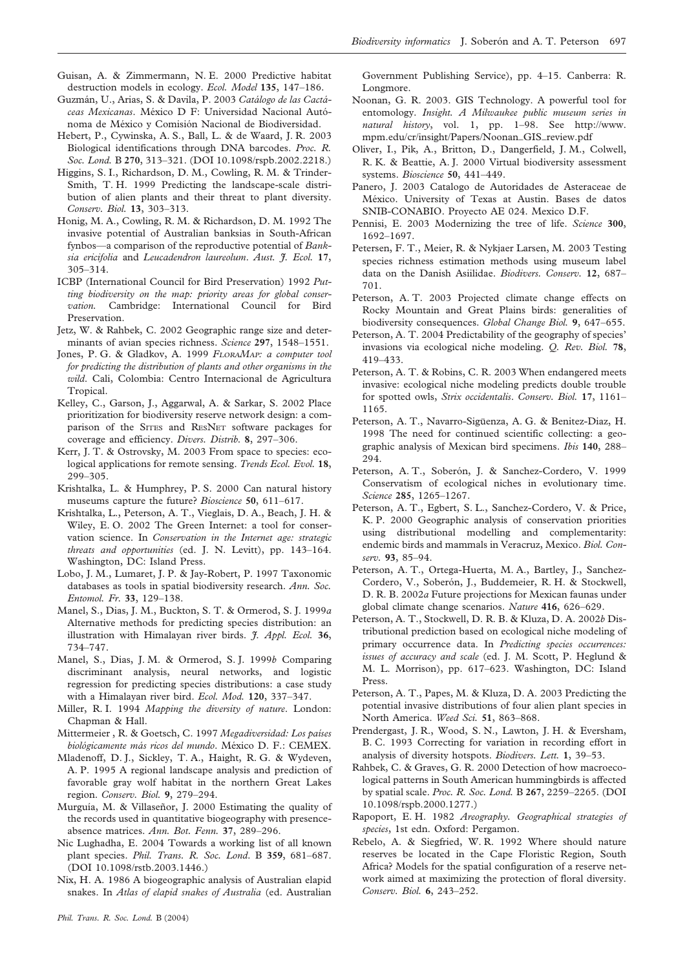- Guisan, A. & Zimmermann, N. E. 2000 Predictive habitat destruction models in ecology. *Ecol. Model* **135**, 147–186.
- Guzma´n, U., Arias, S. & Davila, P. 2003 *Cata´logo de las Cacta´* ceas Mexicanas. México D F: Universidad Nacional Autónoma de México y Comisión Nacional de Biodiversidad.
- Hebert, P., Cywinska, A. S., Ball, L. & de Waard, J. R. 2003 Biological identifications through DNA barcodes. *Proc. R. Soc. Lond.* B **270**, 313–321. (DOI 10.1098/rspb.2002.2218.)
- Higgins, S. I., Richardson, D. M., Cowling, R. M. & Trinder-Smith, T. H. 1999 Predicting the landscape-scale distribution of alien plants and their threat to plant diversity. *Conserv. Biol.* **13**, 303–313.
- Honig, M. A., Cowling, R. M. & Richardson, D. M. 1992 The invasive potential of Australian banksias in South-African fynbos—a comparison of the reproductive potential of *Banksia ericifolia* and *Leucadendron laureolum*. *Aust. J. Ecol.* **17**, 305–314.
- ICBP (International Council for Bird Preservation) 1992 *Putting biodiversity on the map: priority areas for global conservation.* Cambridge: International Council for Bird Preservation.
- Jetz, W. & Rahbek, C. 2002 Geographic range size and determinants of avian species richness. *Science* **297**, 1548–1551.
- Jones, P. G. & Gladkov, A. 1999 *F*lora*M*ap*: a computer tool for predicting the distribution of plants and other organisms in the wild*. Cali, Colombia: Centro Internacional de Agricultura Tropical.
- Kelley, C., Garson, J., Aggarwal, A. & Sarkar, S. 2002 Place prioritization for biodiversity reserve network design: a comparison of the SITES and RESNET software packages for coverage and efficiency. *Divers. Distrib.* **8**, 297–306.
- Kerr, J. T. & Ostrovsky, M. 2003 From space to species: ecological applications for remote sensing. *Trends Ecol. Evol.* **18**, 299–305.
- Krishtalka, L. & Humphrey, P. S. 2000 Can natural history museums capture the future? *Bioscience* **50**, 611–617.
- Krishtalka, L., Peterson, A. T., Vieglais, D. A., Beach, J. H. & Wiley, E. O. 2002 The Green Internet: a tool for conservation science. In *Conservation in the Internet age: strategic threats and opportunities* (ed. J. N. Levitt), pp. 143–164. Washington, DC: Island Press.
- Lobo, J. M., Lumaret, J. P. & Jay-Robert, P. 1997 Taxonomic databases as tools in spatial biodiversity research. *Ann. Soc. Entomol. Fr.* **33**, 129–138.
- Manel, S., Dias, J. M., Buckton, S. T. & Ormerod, S. J. 1999*a* Alternative methods for predicting species distribution: an illustration with Himalayan river birds. *J. Appl. Ecol.* **36**, 734–747.
- Manel, S., Dias, J. M. & Ormerod, S. J. 1999*b* Comparing discriminant analysis, neural networks, and logistic regression for predicting species distributions: a case study with a Himalayan river bird. *Ecol. Mod.* **120**, 337–347.
- Miller, R. I. 1994 *Mapping the diversity of nature*. London: Chapman & Hall.
- Mittermeier , R. & Goetsch, C. 1997 *Megadiversidad: Los paı´ses biolo´gicamente ma´s ricos del mundo*. Me´xico D. F.: CEMEX.
- Mladenoff, D. J., Sickley, T. A., Haight, R. G. & Wydeven, A. P. 1995 A regional landscape analysis and prediction of favorable gray wolf habitat in the northern Great Lakes region. *Conserv. Biol.* **9**, 279–294.
- Murguía, M. & Villaseñor, J. 2000 Estimating the quality of the records used in quantitative biogeography with presenceabsence matrices. *Ann. Bot. Fenn.* **37**, 289–296.
- Nic Lughadha, E. 2004 Towards a working list of all known plant species. *Phil. Trans. R. Soc. Lond*. B **359**, 681–687. (DOI 10.1098/rstb.2003.1446.)
- Nix, H. A. 1986 A biogeographic analysis of Australian elapid snakes. In *Atlas of elapid snakes of Australia* (ed. Australian

Government Publishing Service), pp. 4–15. Canberra: R. Longmore.

- Noonan, G. R. 2003. GIS Technology. A powerful tool for entomology. *Insight. A Milwaukee public museum series in natural history*, vol. 1, pp. 1–98. See http://www. mpm.edu/cr/insight/Papers/Noonan\_GIS\_review.pdf
- Oliver, I., Pik, A., Britton, D., Dangerfield, J. M., Colwell, R. K. & Beattie, A. J. 2000 Virtual biodiversity assessment systems. *Bioscience* **50**, 441–449.
- Panero, J. 2003 Catalogo de Autoridades de Asteraceae de México. University of Texas at Austin. Bases de datos SNIB-CONABIO. Proyecto AE 024. Mexico D.F.
- Pennisi, E. 2003 Modernizing the tree of life. *Science* **300**, 1692–1697.
- Petersen, F. T., Meier, R. & Nykjaer Larsen, M. 2003 Testing species richness estimation methods using museum label data on the Danish Asiilidae. *Biodivers. Conserv.* **12**, 687– 701.
- Peterson, A. T. 2003 Projected climate change effects on Rocky Mountain and Great Plains birds: generalities of biodiversity consequences. *Global Change Biol.* **9**, 647–655.
- Peterson, A. T. 2004 Predictability of the geography of species' invasions via ecological niche modeling. *Q. Rev. Biol.* **78**, 419–433.
- Peterson, A. T. & Robins, C. R. 2003 When endangered meets invasive: ecological niche modeling predicts double trouble for spotted owls, *Strix occidentalis*. *Conserv. Biol.* **17**, 1161– 1165.
- Peterson, A. T., Navarro-Sigüenza, A. G. & Benitez-Diaz, H. 1998 The need for continued scientific collecting: a geographic analysis of Mexican bird specimens. *Ibis* **140**, 288– 294.
- Peterson, A. T., Soberón, J. & Sanchez-Cordero, V. 1999 Conservatism of ecological niches in evolutionary time. *Science* **285**, 1265–1267.
- Peterson, A. T., Egbert, S. L., Sanchez-Cordero, V. & Price, K. P. 2000 Geographic analysis of conservation priorities using distributional modelling and complementarity: endemic birds and mammals in Veracruz, Mexico. *Biol. Conserv.* **93**, 85–94.
- Peterson, A. T., Ortega-Huerta, M. A., Bartley, J., Sanchez-Cordero, V., Soberón, J., Buddemeier, R. H. & Stockwell, D. R. B. 2002*a* Future projections for Mexican faunas under global climate change scenarios. *Nature* **416**, 626–629.
- Peterson, A. T., Stockwell, D. R. B. & Kluza, D. A. 2002*b* Distributional prediction based on ecological niche modeling of primary occurrence data. In *Predicting species occurrences: issues of accuracy and scale* (ed. J. M. Scott, P. Heglund & M. L. Morrison), pp. 617–623. Washington, DC: Island Press.
- Peterson, A. T., Papes, M. & Kluza, D. A. 2003 Predicting the potential invasive distributions of four alien plant species in North America. *Weed Sci.* **51**, 863–868.
- Prendergast, J. R., Wood, S. N., Lawton, J. H. & Eversham, B. C. 1993 Correcting for variation in recording effort in analysis of diversity hotspots. *Biodivers. Lett.* **1**, 39–53.
- Rahbek, C. & Graves, G. R. 2000 Detection of how macroecological patterns in South American hummingbirds is affected by spatial scale. *Proc. R. Soc. Lond.* B **267**, 2259–2265. (DOI 10.1098/rspb.2000.1277.)
- Rapoport, E. H. 1982 *Areography. Geographical strategies of species*, 1st edn. Oxford: Pergamon.
- Rebelo, A. & Siegfried, W. R. 1992 Where should nature reserves be located in the Cape Floristic Region, South Africa? Models for the spatial configuration of a reserve network aimed at maximizing the protection of floral diversity. *Conserv. Biol.* **6**, 243–252.